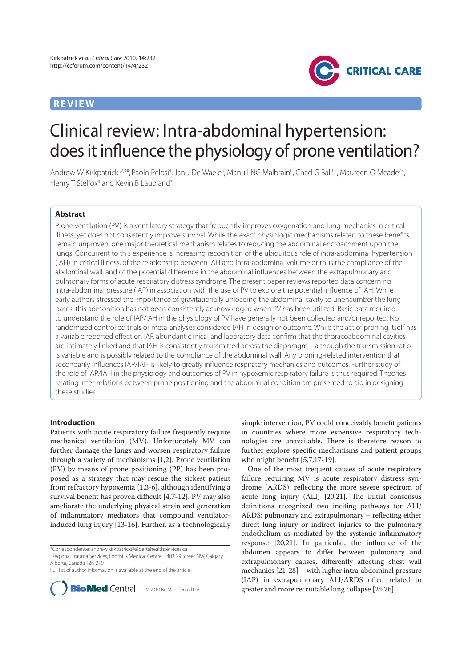## **REVIEW**



# Clinical review: Intra-abdominal hypertension: does it influence the physiology of prone ventilation?

Andrew W Kirkpatrick<sup>1,2,3</sup>\*, Paolo Pelosi<sup>4</sup>, Jan J De Waele<sup>5</sup>, Manu LNG Malbrain<sup>6</sup>, Chad G Ball<sup>1,2</sup>, Maureen O Meade<sup>7,8</sup>, Henry T Stelfox<sup>3</sup> and Kevin B Laupland<sup>3</sup>

## **Abstract**

Prone ventilation (PV) is a ventilatory strategy that frequently improves oxygenation and lung mechanics in critical illness, yet does not consistently improve survival. While the exact physiologic mechanisms related to these benefits remain unproven, one major theoretical mechanism relates to reducing the abdominal encroachment upon the lungs. Concurrent to this experience is increasing recognition of the ubiquitous role of intra-abdominal hypertension (IAH) in critical illness, of the relationship between IAH and intra-abdominal volume or thus the compliance of the abdominal wall, and of the potential difference in the abdominal influences between the extrapulmonary and pulmonary forms of acute respiratory distress syndrome. The present paper reviews reported data concerning intra-abdominal pressure (IAP) in association with the use of PV to explore the potential influence of IAH. While early authors stressed the importance of gravitationally unloading the abdominal cavity to unencumber the lung bases, this admonition has not been consistently acknowledged when PV has been utilized. Basic data required to understand the role of IAP/IAH in the physiology of PV have generally not been collected and/or reported. No randomized controlled trials or meta-analyses considered IAH in design or outcome. While the act of proning itself has a variable reported effect on IAP, abundant clinical and laboratory data confirm that the thoracoabdominal cavities are intimately linked and that IAH is consistently transmitted across the diaphragm – although the transmission ratio is variable and is possibly related to the compliance of the abdominal wall. Any proning-related intervention that secondarily influences IAP/IAH is likely to greatly influence respiratory mechanics and outcomes. Further study of the role of IAP/IAH in the physiology and outcomes of PV in hypoxemic respiratory failure is thus required. Theories relating inter-relations between prone positioning and the abdominal condition are presented to aid in designing these studies.

## **Introduction**

Patients with acute respiratory failure frequently require mechanical ventilation (MV). Unfortunately MV can further damage the lungs and worsen respiratory failure through a variety of mechanisms [1,2]. Prone ventilation (PV) by means of prone positioning (PP) has been proposed as a strategy that may rescue the sickest patient from refractory hypoxemia [1,3-6], although identifying a survival benefit has proven difficult [4,7-12]. PV may also ameliorate the underlying physical strain and generation of inflammatory mediators that compound ventilatorinduced lung injury [13-16]. Further, as a technologically

\*Correspondence: andrew.kirkpatrick@albertahealthservices.ca



simple intervention, PV could conceivably benefit patients in countries where more expensive respiratory technologies are unavailable. There is therefore reason to further explore specific mechanisms and patient groups who might benefit  $[5,7,17-19]$ .

One of the most frequent causes of acute respiratory failure requiring MV is acute respiratory distress syndrome (ARDS), reflecting the more severe spectrum of acute lung injury  $(ALI)$   $[20,21]$ . The initial consensus definitions recognized two inciting pathways for ALI/ ARDS: pulmonary and extrapulmonary - reflecting either direct lung injury or indirect injuries to the pulmonary endothelium as mediated by the systemic inflammatory response  $[20,21]$ . In particular, the influence of the abdomen appears to differ between pulmonary and extrapulmonary causes, differently affecting chest wall mechanics [21-28] – with higher intra-abdominal pressure (IAP) in extrapulmonary ALI/ARDS often related to greater and more recruitable lung collapse [24,26].

<sup>&</sup>lt;sup>1</sup> Regional Trauma Services, Foothills Medical Centre, 1403 29 Street NW, Calgary, Alberta, Canada T2N 2T9 Full list of author information is available at the end of the article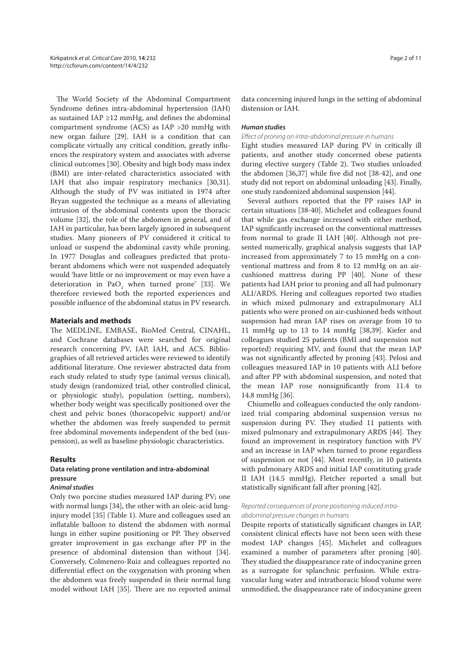The World Society of the Abdominal Compartment Syndrome defines intra-abdominal hypertension (IAH) as sustained IAP ≥12 mmHg, and defines the abdominal compartment syndrome (ACS) as IAP >20 mmHg with new organ failure [29]. IAH is a condition that can complicate virtually any critical condition, greatly influences the respiratory system and associates with adverse clinical outcomes [30]. Obesity and high body mass index (BMI) are inter-related characteristics associated with IAH that also impair respiratory mechanics [30,31]. Although the study of PV was initiated in 1974 after Bryan suggested the technique as a means of alleviating intrusion of the abdominal contents upon the thoracic volume [32], the role of the abdomen in general, and of IAH in particular, has been largely ignored in subsequent studies. Many pioneers of PV considered it critical to unload or suspend the abdominal cavity while proning. In 1977 Douglas and colleagues predicted that protuberant abdomens which were not suspended adequately would 'have little or no improvement or may even have a deterioration in Pa $O_2$  when turned prone' [33]. We therefore reviewed both the reported experiences and possible influence of the abdominal status in PV research.

## **Materials and methods**

The MEDLINE, EMBASE, BioMed Central, CINAHL, and Cochrane databases were searched for original research concerning PV, IAP, IAH, and ACS. Bibliographies of all retrieved articles were reviewed to identify additional literature. One reviewer abstracted data from each study related to study type (animal versus clinical), study design (randomized trial, other controlled clinical, or physiologic study), population (setting, numbers), whether body weight was specifically positioned over the chest and pelvic bones (thoracopelvic support) and/or whether the abdomen was freely suspended to permit free abdominal movements independent of the bed (suspension), as well as baseline physiologic characteristics.

## **Results**

## **Data relating prone ventilation and intra-abdominal pressure**

#### *Animal studies*

Only two porcine studies measured IAP during PV; one with normal lungs [34], the other with an oleic-acid lunginjury model [35] (Table 1). Mure and colleagues used an inflatable balloon to distend the abdomen with normal lungs in either supine positioning or PP. They observed greater improvement in gas exchange after PP in the presence of abdominal distension than without [34]. Conversely, Colmenero-Ruiz and colleagues reported no differential effect on the oxygenation with proning when the abdomen was freely suspended in their normal lung model without IAH [35]. There are no reported animal data concerning injured lungs in the setting of abdominal distension or IAH.

#### *Human studies*

#### *E*f *ect of proning on intra-abdominal pressure in humans*

Eight studies measured IAP during PV in critically ill patients, and another study concerned obese patients during elective surgery (Table 2). Two studies unloaded the abdomen  $[36,37]$  while five did not  $[38-42]$ , and one study did not report on abdominal unloading [43]. Finally, one study randomized abdominal suspension [44].

Several authors reported that the PP raises IAP in certain situations [38-40]. Michelet and colleagues found that while gas exchange increased with either method, IAP significantly increased on the conventional mattresses from normal to grade II IAH [40]. Although not presented numerically, graphical analysis suggests that IAP increased from approximately 7 to 15 mmHg on a conventional mattress and from 8 to 12 mmHg on an aircushioned mattress during PP [40]. None of these patients had IAH prior to proning and all had pulmonary ALI/ARDS. Hering and colleagues reported two studies in which mixed pulmonary and extrapulmonary ALI patients who were proned on air-cushioned beds without suspension had mean IAP rises on average from 10 to 11 mmHg up to 13 to 14 mmHg [38,39]. Kiefer and colleagues studied 25 patients (BMI and suspension not reported) requiring MV, and found that the mean IAP was not significantly affected by proning [43]. Pelosi and colleagues measured IAP in 10 patients with ALI before and after PP with abdominal suspension, and noted that the mean IAP rose nonsignificantly from 11.4 to 14.8 mmHg [36].

Chiumello and colleagues conducted the only randomized trial comparing abdominal suspension versus no suspension during PV. They studied 11 patients with mixed pulmonary and extrapulmonary ARDS [44]. They found an improvement in respiratory function with PV and an increase in IAP when turned to prone regardless of suspension or not [44]. Most recently, in 10 patients with pulmonary ARDS and initial IAP constituting grade II IAH (14.5 mmHg), Fletcher reported a small but statistically significant fall after proning [42].

## *Reported consequences of prone positioning induced intraabdominal pressure changes in humans*

Despite reports of statistically significant changes in IAP, consistent clinical effects have not been seen with these modest IAP changes [45]. Michelet and colleagues examined a number of parameters after proning [40]. They studied the disappearance rate of indocyanine green as a surrogate for splanchnic perfusion. While extravascular lung water and intrathoracic blood volume were unmodified, the disappearance rate of indocyanine green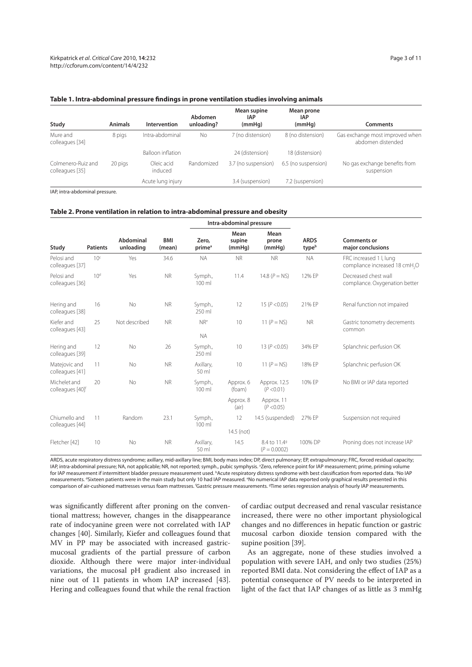| Study                                 | <b>Animals</b> | <b>Intervention</b>   | Abdomen<br>unloading? | Mean supine<br><b>IAP</b><br>(mmHq) | Mean prone<br><b>IAP</b><br>(mmHq) | Comments                                             |
|---------------------------------------|----------------|-----------------------|-----------------------|-------------------------------------|------------------------------------|------------------------------------------------------|
| Mure and<br>colleagues [34]           | 8 pigs         | Intra-abdominal       | No                    | 7 (no distension)                   | 8 (no distension)                  | Gas exchange most improved when<br>abdomen distended |
|                                       |                | Balloon inflation     |                       | 24 (distension)                     | 18 (distension)                    |                                                      |
| Colmenero-Ruiz and<br>colleagues [35] | 20 pigs        | Oleic acid<br>induced | Randomized            | 3.7 (no suspension)                 | 6.5 (no suspension)                | No gas exchange benefits from<br>suspension          |
|                                       |                | Acute lung injury     |                       | 3.4 (suspension)                    | 7.2 (suspension)                   |                                                      |

IAP, intra-abdominal pressure.

#### **Table 2. Prone ventilation in relation to intra-abdominal pressure and obesity**

**Table 1. Intra-abdominal pressure f ndings in prone ventilation studies involving animals**

|                                              |                 | Abdominal<br>unloading | <b>BMI</b><br>(mean) | Intra-abdominal pressure     |                          |                            |                      |                                                          |
|----------------------------------------------|-----------------|------------------------|----------------------|------------------------------|--------------------------|----------------------------|----------------------|----------------------------------------------------------|
| Study                                        | <b>Patients</b> |                        |                      | Zero.<br>prime <sup>a</sup>  | Mean<br>supine<br>(mmHq) | Mean<br>prone<br>(mmHq)    | <b>ARDS</b><br>typeb | <b>Comments or</b><br>major conclusions                  |
| Pelosi and<br>colleagues [37]                | 10 <sup>c</sup> | Yes                    | 34.6                 | <b>NA</b>                    | <b>NR</b>                | <b>NR</b>                  | <b>NA</b>            | FRC increased 1 l, lung<br>compliance increased 18 cmH,O |
| Pelosi and<br>colleagues [36]                | 10 <sup>d</sup> | Yes                    | <b>NR</b>            | Symph.,<br>100 ml            | 11.4                     | 14.8 $(P = NS)$            | 12% EP               | Decreased chest wall<br>compliance. Oxygenation better   |
| Hering and<br>colleagues [38]                | 16              | <b>No</b>              | <b>NR</b>            | Symph.,<br>250 ml            | 12                       | 15 ( $P < 0.05$ )          | 21% EP               | Renal function not impaired                              |
| Kiefer and<br>colleagues [43]                | 25              | Not described          | <b>NR</b>            | NR <sup>e</sup><br><b>NA</b> | 10                       | 11 ( $P = NS$ )            | <b>NR</b>            | Gastric tonometry decrements<br>common                   |
| Hering and<br>colleagues [39]                | 12              | No                     | 26                   | Symph.,<br>250 ml            | 10                       | 13 ( $P < 0.05$ )          | 34% EP               | Splanchnic perfusion OK                                  |
| Matejovic and<br>colleagues [41]             | 11              | <b>No</b>              | <b>NR</b>            | Axillary,<br>50 ml           | 10                       | 11 ( $P = NS$ )            | 18% EP               | Splanchnic perfusion OK                                  |
| Michelet and<br>colleagues [40] <sup>f</sup> | 20              | No                     | <b>NR</b>            | Symph.,<br>$100 \mathrm{m}$  | Approx. 6<br>(foam)      | Approx. 12.5<br>(P < 0.01) | 10% EP               | No BMI or IAP data reported                              |
|                                              |                 |                        |                      |                              | Approx. 8<br>(air)       | Approx. 11<br>(P < 0.05)   |                      |                                                          |
| Chiumello and<br>colleagues [44]             | 11              | Random                 | 23.1                 | Symph.,<br>100 ml            | 12<br>14.5 (not)         | 14.5 (suspended)           | 27% EP               | Suspension not required                                  |
| Fletcher [42]                                | 10 <sup>°</sup> | No                     | <b>NR</b>            | Axillary,                    | 14.5                     | 8.4 to 11.49               | 100% DP              | Proning does not increase IAP                            |
|                                              |                 |                        |                      | 50 ml                        |                          | $(P = 0.0002)$             |                      |                                                          |

ARDS, acute respiratory distress syndrome; axillary, mid-axillary line; BMI, body mass index; DP, direct pulmonary; EP, extrapulmonary; FRC, forced residual capacity; IAP, intra-abdominal pressure; NA, not applicable; NR, not reported; symph,, pubic symphysis. <sup>a</sup>Zero, reference point for IAP measurement; prime, priming volume for IAP measurement if intermittent bladder pressure measurement used. <sup>b</sup>Acute respiratory distress syndrome with best classification from reported data. No IAP measurements. <sup>d</sup>Sixteen patients were in the main study but only 10 had IAP measured. <sup>e</sup>No numerical IAP data reported only graphical results presented in this comparison of air-cushioned mattresses versus foam mattresses. 'Gastric pressure measurements. Time series regression analysis of hourly IAP measurements.

was significantly different after proning on the conventional mattress; however, changes in the disappearance rate of indocyanine green were not correlated with IAP changes [40]. Similarly, Kiefer and colleagues found that MV in PP may be associated with increased gastricmucosal gradients of the partial pressure of carbon dioxide. Although there were major inter-individual variations, the mucosal pH gradient also increased in nine out of 11 patients in whom IAP increased [43]. Hering and colleagues found that while the renal fraction of cardiac output decreased and renal vascular resistance increased, there were no other important physiological changes and no differences in hepatic function or gastric mucosal carbon dioxide tension compared with the supine position [39].

As an aggregate, none of these studies involved a population with severe IAH, and only two studies (25%) reported BMI data. Not considering the effect of IAP as a potential consequence of PV needs to be interpreted in light of the fact that IAP changes of as little as 3 mmHg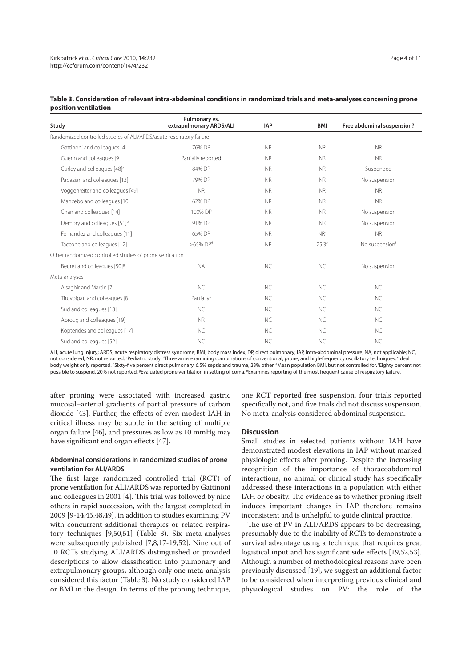| Study                                                               | Pulmonary vs.<br>extrapulmonary ARDS/ALI | <b>IAP</b> | <b>BMI</b>        | Free abdominal suspension? |  |  |  |
|---------------------------------------------------------------------|------------------------------------------|------------|-------------------|----------------------------|--|--|--|
| Randomized controlled studies of ALI/ARDS/acute respiratory failure |                                          |            |                   |                            |  |  |  |
| Gattinoni and colleagues [4]                                        | 76% DP                                   | <b>NR</b>  | <b>NR</b>         | <b>NR</b>                  |  |  |  |
| Guerin and colleagues [9]                                           | Partially reported                       | <b>NR</b>  | <b>NR</b>         | <b>NR</b>                  |  |  |  |
| Curley and colleagues [48] <sup>a</sup>                             | 84% DP                                   | <b>NR</b>  | <b>NR</b>         | Suspended                  |  |  |  |
| Papazian and colleagues [13]                                        | 79% DP                                   | <b>NR</b>  | <b>NR</b>         | No suspension              |  |  |  |
| Voggenreiter and colleagues [49]                                    | <b>NR</b>                                | <b>NR</b>  | <b>NR</b>         | <b>NR</b>                  |  |  |  |
| Mancebo and colleagues [10]                                         | 62% DP                                   | <b>NR</b>  | <b>NR</b>         | <b>NR</b>                  |  |  |  |
| Chan and colleagues [14]                                            | 100% DP                                  | <b>NR</b>  | <b>NR</b>         | No suspension              |  |  |  |
| Demory and colleagues [51] <sup>b</sup>                             | 91% DP                                   | <b>NR</b>  | <b>NR</b>         | No suspension              |  |  |  |
| Fernandez and colleagues [11]                                       | 65% DP                                   | <b>NR</b>  | NR <sup>c</sup>   | <b>NR</b>                  |  |  |  |
| Taccone and colleagues [12]                                         | $>65\%$ DP <sup>d</sup>                  | <b>NR</b>  | 25.3 <sup>e</sup> | No suspension <sup>f</sup> |  |  |  |
| Other randomized controlled studies of prone ventilation            |                                          |            |                   |                            |  |  |  |
| Beuret and colleagues [50] <sup>9</sup>                             | <b>NA</b>                                | <b>NC</b>  | NC.               | No suspension              |  |  |  |
| Meta-analyses                                                       |                                          |            |                   |                            |  |  |  |
| Alsaghir and Martin [7]                                             | <b>NC</b>                                | <b>NC</b>  | NC                | <b>NC</b>                  |  |  |  |
| Tiruvoipati and colleagues [8]                                      | Partially <sup>h</sup>                   | <b>NC</b>  | NC                | <b>NC</b>                  |  |  |  |
| Sud and colleagues [18]                                             | <b>NC</b>                                | <b>NC</b>  | <b>NC</b>         | <b>NC</b>                  |  |  |  |
| Abroug and colleagues [19]                                          | <b>NR</b>                                | <b>NC</b>  | <b>NC</b>         | <b>NC</b>                  |  |  |  |
| Kopterides and colleagues [17]                                      | <b>NC</b>                                | <b>NC</b>  | <b>NC</b>         | <b>NC</b>                  |  |  |  |
| Sud and colleagues [52]                                             | <b>NC</b>                                | <b>NC</b>  | <b>NC</b>         | <b>NC</b>                  |  |  |  |

### **Table 3. Consideration of relevant intra-abdominal conditions in randomized trials and meta-analyses concerning prone position ventilation**

ALI, acute lung injury; ARDS, acute respiratory distress syndrome; BMI, body mass index; DP, direct pulmonary; IAP, intra-abdominal pressure; NA, not applicable; NC, not considered; NR, not reported. <sup>a</sup>Pediatric study. <sup>b</sup>Three arms examining combinations of conventional, prone, and high-frequency oscillatory techniques. <sup>q</sup>deal body weight only reported. dSixty-five percent direct pulmonary, 6.5% sepsis and trauma, 23% other. eMean population BMI, but not controlled for. 'Eighty percent not possible to suspend, 20% not reported. <sup>g</sup>Evaluated prone ventilation in setting of coma. "Examines reporting of the most frequent cause of respiratory failure.

after proning were associated with increased gastric mucosal–arterial gradients of partial pressure of carbon dioxide [43]. Further, the effects of even modest IAH in critical illness may be subtle in the setting of multiple organ failure [46], and pressures as low as 10 mmHg may have significant end organ effects [47].

### **Abdominal considerations in randomized studies of prone ventilation for ALI/ARDS**

The first large randomized controlled trial (RCT) of prone ventilation for ALI/ARDS was reported by Gattinoni and colleagues in 2001 [4]. This trial was followed by nine others in rapid succession, with the largest completed in 2009 [9-14,45,48,49], in addition to studies examining PV with concurrent additional therapies or related respiratory techniques [9,50,51] (Table 3). Six meta-analyses were subsequently published [7,8,17-19,52]. Nine out of 10 RCTs studying ALI/ARDS distinguished or provided descriptions to allow classification into pulmonary and extrapulmonary groups, although only one meta-analysis considered this factor (Table 3). No study considered IAP or BMI in the design. In terms of the proning technique,

one RCT reported free suspension, four trials reported specifically not, and five trials did not discuss suspension. No meta-analysis considered abdominal suspension.

## **Discussion**

Small studies in selected patients without IAH have demonstrated modest elevations in IAP without marked physiologic effects after proning. Despite the increasing recognition of the importance of thoracoabdominal interactions, no animal or clinical study has specifically addressed these interactions in a population with either IAH or obesity. The evidence as to whether proning itself induces important changes in IAP therefore remains inconsistent and is unhelpful to guide clinical practice.

The use of PV in ALI/ARDS appears to be decreasing, presumably due to the inability of RCTs to demonstrate a survival advantage using a technique that requires great logistical input and has significant side effects [19,52,53]. Although a number of methodological reasons have been previously discussed [19], we suggest an additional factor to be considered when interpreting previous clinical and physiological studies on PV: the role of the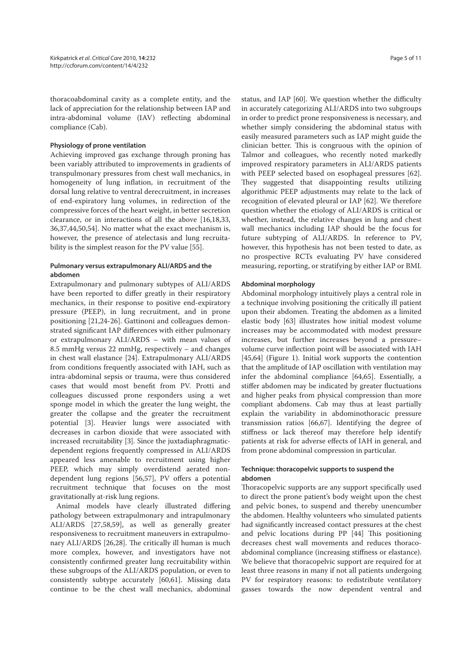thoraco abdominal cavity as a complete entity, and the lack of appreciation for the relationship between IAP and intra-abdominal volume (IAV) reflecting abdominal compliance (Cab).

#### **Physiology of prone ventilation**

Achieving improved gas exchange through proning has been variably attributed to improvements in gradients of transpulmonary pressures from chest wall mechanics, in homogeneity of lung inflation, in recruitment of the dorsal lung relative to ventral derecruitment, in increases of end-expiratory lung volumes, in redirection of the compressive forces of the heart weight, in better secretion clearance, or in interactions of all the above [16,18,33, 36,37,44,50,54]. No matter what the exact mechanism is, however, the presence of atelectasis and lung recruitability is the simplest reason for the PV value [55].

## **Pulmonary versus extrapulmonary ALI/ARDS and the abdomen**

Extrapulmonary and pulmonary subtypes of ALI/ARDS have been reported to differ greatly in their respiratory mechanics, in their response to positive end-expiratory pressure (PEEP), in lung recruitment, and in prone positioning [21,24-26]. Gattinoni and colleagues demonstrated significant IAP differences with either pulmonary or extrapulmonary ALI/ARDS – with mean values of 8.5 mmHg versus 22 mmHg, respectively – and changes in chest wall elastance [24]. Extrapulmonary ALI/ARDS from conditions frequently associated with IAH, such as intra-abdominal sepsis or trauma, were thus considered cases that would most benefit from PV. Protti and colleagues discussed prone responders using a wet sponge model in which the greater the lung weight, the greater the collapse and the greater the recruitment potential [3]. Heavier lungs were associated with decreases in carbon dioxide that were associated with increased recruitability [3]. Since the juxtadiaphragmaticdependent regions frequently compressed in ALI/ARDS appeared less amenable to recruitment using higher PEEP, which may simply overdistend aerated nondependent lung regions  $[56,57]$ , PV offers a potential recruitment technique that focuses on the most gravitationally at-risk lung regions.

Animal models have clearly illustrated differing pathology between extrapulmonary and intrapulmonary ALI/ARDS [27,58,59], as well as generally greater responsiveness to recruitment maneuvers in extrapulmonary ALI/ARDS [26,28]. The critically ill human is much more complex, however, and investigators have not consistently confirmed greater lung recruitability within these subgroups of the ALI/ARDS population, or even to consistently subtype accurately [60,61]. Missing data continue to be the chest wall mechanics, abdominal

status, and IAP [60]. We question whether the difficulty in accurately categorizing ALI/ARDS into two subgroups in order to predict prone responsiveness is necessary, and whether simply considering the abdominal status with easily measured parameters such as IAP might guide the clinician better. This is congruous with the opinion of Talmor and colleagues, who recently noted markedly improved respiratory parameters in ALI/ARDS patients with PEEP selected based on esophageal pressures [62]. They suggested that disappointing results utilizing algorithmic PEEP adjustments may relate to the lack of recognition of elevated pleural or IAP [62]. We therefore question whether the etiology of ALI/ARDS is critical or whether, instead, the relative changes in lung and chest wall mechanics including IAP should be the focus for future subtyping of ALI/ARDS. In reference to PV, however, this hypothesis has not been tested to date, as no prospective RCTs evaluating PV have considered measuring, reporting, or stratifying by either IAP or BMI.

#### **Abdominal morphology**

Abdominal morphology intuitively plays a central role in a technique involving positioning the critically ill patient upon their abdomen. Treating the abdomen as a limited elastic body [63] illustrates how initial modest volume increases may be accommodated with modest pressure increases, but further increases beyond a pressure– volume curve inflection point will be associated with IAH [45,64] (Figure 1). Initial work supports the contention that the amplitude of IAP oscillation with ventilation may infer the abdominal compliance [64,65]. Essentially, a stiffer abdomen may be indicated by greater fluctuations and higher peaks from physical compression than more compliant abdomens. Cab may thus at least partially explain the variability in abdominothoracic pressure transmission ratios [66,67]. Identifying the degree of stiffness or lack thereof may therefore help identify patients at risk for adverse effects of IAH in general, and from prone abdominal compression in particular.

## **Technique: thoracopelvic supports to suspend the abdomen**

Thoracopelvic supports are any support specifically used to direct the prone patient's body weight upon the chest and pelvic bones, to suspend and thereby unencumber the abdomen. Healthy volunteers who simulated patients had significantly increased contact pressures at the chest and pelvic locations during PP [44] This positioning decreases chest wall movements and reduces thoracoabdominal compliance (increasing stiffness or elastance). We believe that thoracopelvic support are required for at least three reasons in many if not all patients undergoing PV for respiratory reasons: to redistribute ventilatory gasses towards the now dependent ventral and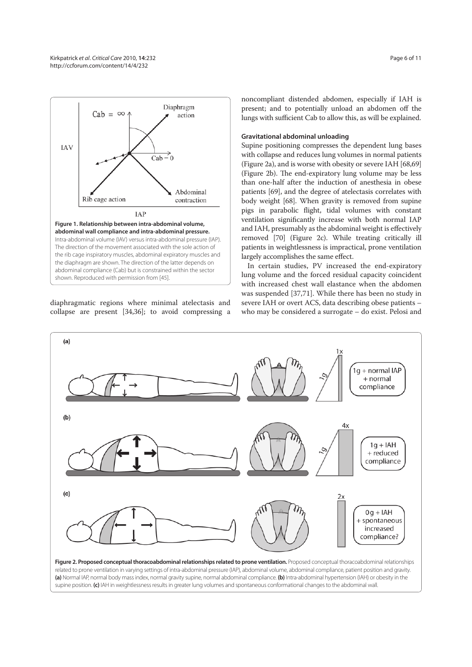

diaphragmatic regions where minimal atelectasis and collapse are present [34,36]; to avoid compressing a noncompliant distended abdomen, especially if IAH is present; and to potentially unload an abdomen off the lungs with sufficient Cab to allow this, as will be explained.

#### **Gravitational abdominal unloading**

Supine positioning compresses the dependent lung bases with collapse and reduces lung volumes in normal patients (Figure 2a), and is worse with obesity or severe IAH [68,69] (Figure 2b). The end-expiratory lung volume may be less than one-half after the induction of anesthesia in obese patients [69], and the degree of atelectasis correlates with body weight [68]. When gravity is removed from supine pigs in parabolic flight, tidal volumes with constant ventilation significantly increase with both normal IAP and IAH, presumably as the abdominal weight is effectively removed [70] (Figure 2c). While treating critically ill patients in weightlessness is impractical, prone ventilation largely accomplishes the same effect.

In certain studies, PV increased the end-expiratory lung volume and the forced residual capacity coincident with increased chest wall elastance when the abdomen was suspended [37,71]. While there has been no study in severe IAH or overt ACS, data describing obese patients – who may be considered a surrogate – do exist. Pelosi and

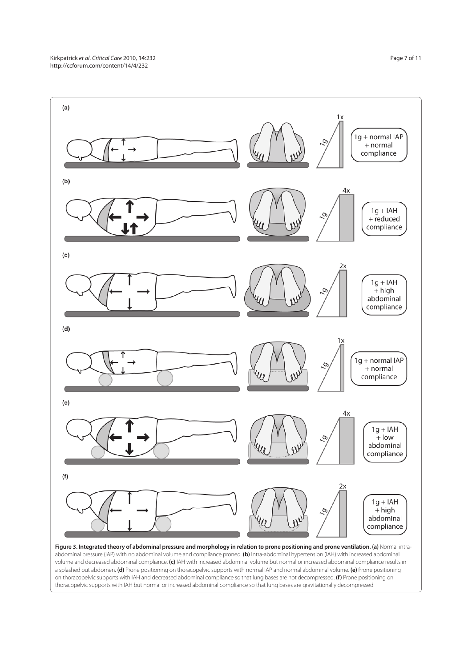

abdominal pressure (IAP) with no abdominal volume and compliance proned. **(b)** Intra-abdominal hypertension (IAH) with increased abdominal volume and decreased abdominal compliance. **(c)** IAH with increased abdominal volume but normal or increased abdominal compliance results in a splashed out abdomen. **(d)** Prone positioning on thoracopelvic supports with normal IAP and normal abdominal volume. **(e)** Prone positioning on thoracopelvic supports with IAH and decreased abdominal compliance so that lung bases are not decompressed. **(f)** Prone positioning on thoracopelvic supports with IAH but normal or increased abdominal compliance so that lung bases are gravitationally decompressed.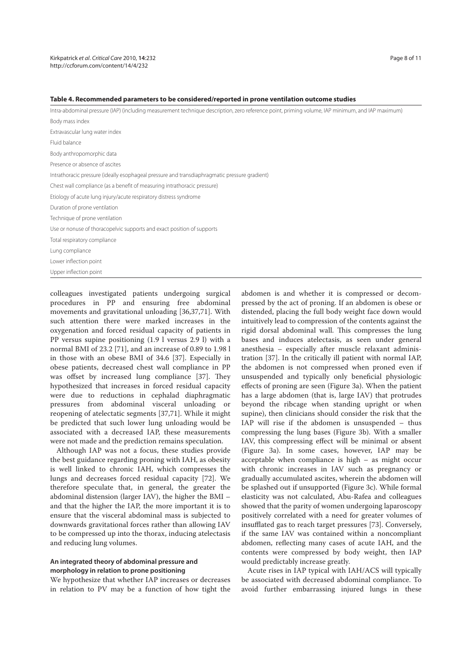#### **Table 4. Recommended parameters to be considered/reported in prone ventilation outcome studies**

Intra-abdominal pressure (IAP) (including measurement technique description, zero reference point, priming volume, IAP minimum, and IAP maximum) Body mass index Extravascular lung water index Fluid balance Body anthropomorphic data Presence or absence of ascites Intrathoracic pressure (ideally esophageal pressure and transdiaphragmatic pressure gradient) Chest wall compliance (as a benefit of measuring intrathoracic pressure) Etiology of acute lung injury/acute respiratory distress syndrome Duration of prone ventilation Technique of prone ventilation Use or nonuse of thoracopelvic supports and exact position of supports Total respiratory compliance Lung compliance Lower inflection point Upper inflection point

colleagues investigated patients undergoing surgical procedures in PP and ensuring free abdominal movements and gravitational unloading [36,37,71]. With such attention there were marked increases in the oxygenation and forced residual capacity of patients in PP versus supine positioning (1.9 l versus 2.9 l) with a normal BMI of 23.2 [71], and an increase of 0.89 to 1.98 l in those with an obese BMI of 34.6 [37]. Especially in obese patients, decreased chest wall compliance in PP was offset by increased lung compliance [37]. They hypothesized that increases in forced residual capacity were due to reductions in cephalad diaphragmatic pressures from abdominal visceral unloading or reopening of atelectatic segments [37,71]. While it might be predicted that such lower lung unloading would be associated with a decreased IAP, these measurements were not made and the prediction remains speculation.

Although IAP was not a focus, these studies provide the best guidance regarding proning with IAH, as obesity is well linked to chronic IAH, which compresses the lungs and decreases forced residual capacity [72]. We therefore speculate that, in general, the greater the abdominal distension (larger IAV), the higher the BMI – and that the higher the IAP, the more important it is to ensure that the visceral abdominal mass is subjected to downwards gravitational forces rather than allowing IAV to be compressed up into the thorax, inducing atelectasis and reducing lung volumes.

### **An integrated theory of abdominal pressure and morphology in relation to prone positioning**

We hypothesize that whether IAP increases or decreases in relation to PV may be a function of how tight the abdomen is and whether it is compressed or decompressed by the act of proning. If an abdomen is obese or distended, placing the full body weight face down would intuitively lead to compression of the contents against the rigid dorsal abdominal wall. This compresses the lung bases and induces atelectasis, as seen under general anesthesia – especially after muscle relaxant administration [37]. In the critically ill patient with normal IAP, the abdomen is not compressed when proned even if unsuspended and typically only beneficial physiologic effects of proning are seen (Figure 3a). When the patient has a large abdomen (that is, large IAV) that protrudes beyond the ribcage when standing upright or when supine), then clinicians should consider the risk that the IAP will rise if the abdomen is unsuspended – thus compressing the lung bases (Figure 3b). With a smaller IAV, this compressing effect will be minimal or absent (Figure 3a). In some cases, however, IAP may be acceptable when compliance is high – as might occur with chronic increases in IAV such as pregnancy or gradually accumulated ascites, wherein the abdomen will be splashed out if unsupported (Figure 3c). While formal elasticity was not calculated, Abu-Rafea and colleagues showed that the parity of women undergoing laparoscopy positively correlated with a need for greater volumes of insufflated gas to reach target pressures [73]. Conversely, if the same IAV was contained within a noncompliant abdomen, reflecting many cases of acute IAH, and the contents were compressed by body weight, then IAP would predictably increase greatly.

Acute rises in IAP typical with IAH/ACS will typically be associated with decreased abdominal compliance. To avoid further embarrassing injured lungs in these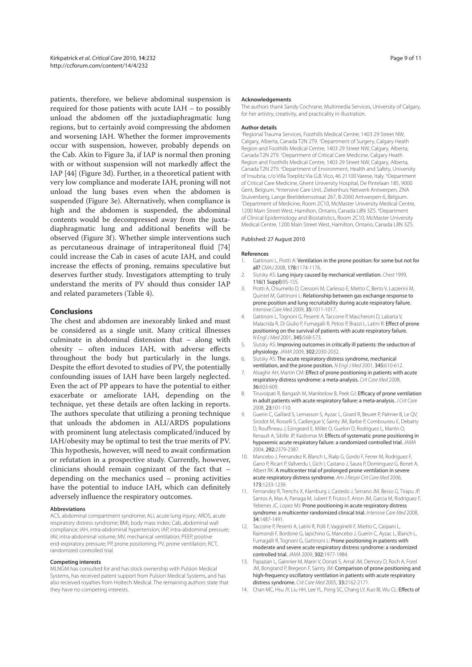patients, therefore, we believe abdominal suspension is required for those patients with acute IAH – to possibly unload the abdomen off the juxtadiaphragmatic lung regions, but to certainly avoid compressing the abdomen and worsening IAH. Whether the former improvements occur with suspension, however, probably depends on the Cab. Akin to Figure 3a, if IAP is normal then proning with or without suspension will not markedly affect the IAP [44] (Figure 3d). Further, in a theoretical patient with very low compliance and moderate IAH, proning will not unload the lung bases even when the abdomen is suspended (Figure 3e). Alternatively, when compliance is high and the abdomen is suspended, the abdominal contents would be decompressed away from the juxtadiaphragmatic lung and additional benefits will be observed (Figure 3f). Whether simple interventions such as percutaneous drainage of intraperitoneal fluid [74] could increase the Cab in cases of acute IAH, and could increase the effects of proning, remains speculative but deserves further study. Investigators attempting to truly understand the merits of PV should thus consider IAP and related parameters (Table 4).

## **Conclusions**

The chest and abdomen are inexorably linked and must be considered as a single unit. Many critical illnesses culminate in abdominal distension that – along with obesity - often induces IAH, with adverse effects throughout the body but particularly in the lungs. Despite the effort devoted to studies of PV, the potentially confounding issues of IAH have been largely neglected. Even the act of PP appears to have the potential to either exacerbate or ameliorate IAH, depending on the technique, yet these details are often lacking in reports. The authors speculate that utilizing a proning technique that unloads the abdomen in ALI/ARDS populations with prominent lung atelectasis complicated/induced by IAH/obesity may be optimal to test the true merits of PV. This hypothesis, however, will need to await confirmation or refutation in a prospective study. Currently, however, clinicians should remain cognizant of the fact that – depending on the mechanics used – proning activities have the potential to induce IAH, which can definitely adversely influence the respiratory outcomes.

#### **Abbreviations**

ACS, abdominal compartment syndrome; ALI, acute lung injury; ARDS, acute respiratory distress syndrome; BMI, body mass index; Cab, abdominal wall compliance; IAH, intra-abdominal hypertension; IAP, intra-abdominal pressure; IAV, intra-abdominal volume; MV, mechanical ventilation; PEEP, positive end-expiratory pressure; PP, prone positioning; PV, prone ventilation; RCT, randomized controlled trial.

#### **Competing interests**

MLNGM has consulted for and has stock ownership with Pulsion Medical Systems, has received patent support from Pulsion Medical Systems, and has also received royalties from Holtech Medical. The remaining authors state that they have no competing interests.

#### **Acknowledgements**

The authors thank Sandy Cochrane, Multimedia Services, University of Calgary, for her artistry, creativity, and practicality in illustration.

#### **Author details**

1 Regional Trauma Services, Foothills Medical Centre, 1403 29 Street NW, Calgary, Alberta, Canada T2N 2T9. <sup>2</sup>Department of Surgery, Calgary Heath Region and Foothills Medical Centre, 1403 29 Street NW, Calgary, Alberta, Canada T2N 2T9. <sup>3</sup>Department of Critical Care Medicine, Calgary Heath Region and Foothills Medical Centre, 1403 29 Street NW, Calgary, Alberta, Canada T2N 2T9. 4 Department of Environment, Health and Safety, University of Insubria, c/o Villa Toeplitz Via G.B. Vico, 46 21100 Varese, Italy. <sup>5</sup>Department of Critical Care Medicine, Ghent University Hospital, De Pintelaan 185, 9000 Gent, Belgium. <sup>6</sup>Intensive Care Unit, Ziekenhuis Netwerk Antwerpen, ZNA Stuivenberg, Lange Beeldekensstraat 267, B-2060 Antwerpen 6, Belgium. 7 Department of Medicine, Room 2C10, McMaster University Medical Centre, 1200 Main Street West, Hamilton, Ontario, Canada L8N 3Z5. <sup>8</sup>Department of Clinical Epidemiology and Biostatistics, Room 2C10, McMaster University Medical Centre, 1200 Main Street West, Hamilton, Ontario, Canada L8N 3Z5.

#### Published: 27 August 2010

#### **References**

- Gattinoni L, Protti A: Ventilation in the prone position: for some but not for all? *CMAJ* 2008, 178:1174-1176.
- 2. Slutsky AS: Lung injury caused by mechanical ventilation. *Chest* 1999, 116(1 Suppl):9S-15S.
- 3. Protti A, Chiumello D, Cressoni M, Carlesso E, Mietto C, Berto V, Lazzerini M, Quintel M, Gattinoni L: Relationship between gas exchange response to prone position and lung recruitability during acute respiratory failure. *Intensive Care Med* 2009, 35:1011-1017.
- 4. Gattinoni L, Tognoni G, Pesenti A, Taccone P, Mascheroni D, Labarta V, Malacrida R, Di Giulio P, Fumagalli R, Pelosi P, Brazzi L, Latini R: Effect of prone positioning on the survival of patients with acute respiratory failure. *N Engl J Med* 2001, 345:568-573.
- Slutsky AS: Improving outcomes in critically ill patients: the seduction of physiology. *JAMA* 2009, 302:2030-2032.
- 6. Slutsky AS: The acute respiratory distress syndrome, mechanical ventilation, and the prone position. *N Engl J Med* 2001, 345:610-612.
- 7. Alsaghir AH, Martin CM: Effect of prone positioning in patients with acute respiratory distress syndrome: a meta-analysis. *Crit Care Med* 2008, 36:603-609.
- Tiruvoipati R, Bangash M, Manktelow B, Peek GJ: Efficacy of prone ventilation in adult patients with acute respiratory failure: a meta-analysis. *J Crit Care*  2008, 23:101-110.
- 9. Guerin C, Gaillard S, Lemasson S, Ayzac L, Girard R, Beuret P, Palmier B, Le QV, Sirodot M, Rosselli S, Cadiergue V, Sainty JM, Barbe P, Combourieu E, Debatty D, Rouffineau J, Ezingeard E, Millet O, Guelon D, Rodriguez L, Martin O, Renault A, Sibille JP, Kaidomar M: Effects of systematic prone positioning in hypoxemic acute respiratory failure: a randomized controlled trial. *JAMA*  2004, 292:2379-2387.
- 10. Mancebo J, Fernandez R, Blanch L, Rialp G, Gordo F, Ferrer M, Rodriguez F, Garro P, Ricart P, Vallverdu I, Gich I, Castano J, Saura P, Dominguez G, Bonet A, Albert RK: A multicenter trial of prolonged prone ventilation in severe acute respiratory distress syndrome. *Am J Respir Crit Care Med* 2006, 173:1233-1239.
- 11. Fernandez R, Trenchs X, Klamburg J, Castedo J, Serrano JM, Besso G, Tirapu JP, Santos A, Mas A, Parraga M, Jubert P, Frutos F, Anon JM, Garcia M, Rodriguez F, Yebenes JC, Lopez MJ: Prone positioning in acute respiratory distress syndrome: a multicenter randomized clinical trial. *Intensive Care Med* 2008, 34:1487-1491.
- 12. Taccone P, Pesenti A, Latini R, Polli F, Vagginelli F, Mietto C, Caspani L, Raimondi F, Bordone G, Iapichino G, Mancebo J, Guerin C, Ayzac L, Blanch L, Fumagalli R, Tognoni G, Gattinoni L: Prone positioning in patients with moderate and severe acute respiratory distress syndrome: a randomized controlled trial. *JAMA* 2009, 302:1977-1984.
- 13. Papazian L, Gainnier M, Marin V, Donati S, Arnal JM, Demory D, Roch A, Forel JM, Bongrand P, Bregeon F, Sainty JM: Comparison of prone positioning and high-frequency oscillatory ventilation in patients with acute respiratory distress syndrome. *Crit Care Med* 2005, 33:2162-2171.
- 14. Chan MC, Hsu JY, Liu HH, Lee YL, Pong SC, Chang LY, Kuo BI, Wu CL: Effects of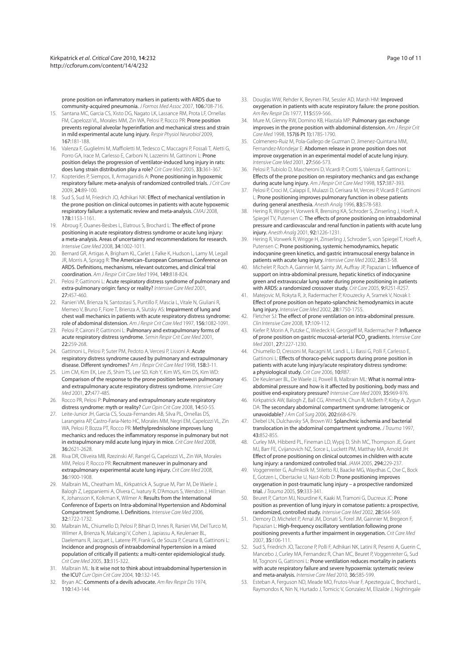prone position on inflammatory markers in patients with ARDS due to community-acquired pneumonia. *J Formos Med Assoc* 2007, 106:708-716.

- Santana MC, Garcia CS, Xisto DG, Nagato LK, Lassance RM, Prota LF, Ornellas FM, Capelozzi VL, Morales MM, Zin WA, Pelosi P, Rocco PR: Prone position prevents regional alveolar hyperinflation and mechanical stress and strain in mild experimental acute lung injury. *Respir Physiol Neurobiol* 2009, 167:181-188.
- 16. Valenza F, Guglielmi M, Maffioletti M, Tedesco C, Maccagni P, Fossali T, Aletti G, Porro GA, Irace M, Carlesso E, Carboni N, Lazzerini M, Gattinoni L: Prone position delays the progression of ventilator-induced lung injury in rats: does lung strain distribution play a role? *Crit Care Med* 2005, 33:361-367.
- 17. Kopterides P, Siempos, II, Armaganidis A: Prone positioning in hypoxemic respiratory failure: meta-analysis of randomized controlled trials. *J Crit Care*  2009, 24:89-100.
- 18. Sud S, Sud M, Friedrich JO, Adhikari NK: Effect of mechanical ventilation in the prone position on clinical outcomes in patients with acute hypoxemic respiratory failure: a systematic review and meta-analysis. *CMAJ* 2008, 178:1153-1161.
- 19. Abroug F, Ouanes-Besbes L, Elatrous S, Brochard L: The effect of prone positioning in acute respiratory distress syndrome or acute lung injury: a meta-analysis. Areas of uncertainty and recommendations for research. *Intensive Care Med* 2008, 34:1002-1011.
- Bernard GR, Artigas A, Brigham KL, Carlet J, Falke K, Hudson L, Lamy M, Legall JR, Morris A, Spragg R: The American–European Consensus Conference on ARDS. Definitions, mechanisms, relevant outcomes, and clinical trial coordination. *Am J Respir Crit Care Med* 1994, 149:818-824.
- 21. Pelosi P, Gattinoni L: Acute respiratory distress syndrome of pulmonary and extra-pulmonary origin: fancy or reality? *Intensive Care Med* 2001, 27:457-460.
- 22. Ranieri VM, Brienza N, Santostasi S, Puntillo F, Mascia L, Vitale N, Giuliani R, Memeo V, Bruno F, Fiore T, Brienza A, Slutsky AS: Impairment of lung and chest wall mechanics in patients with acute respiratory distress syndrome: role of abdominal distension. *Am J Respir Crit Care Med* 1997, 156:1082-1091.
- 23. Pelosi P, Caironi P, Gattinoni L: Pulmonary and extrapulmonary forms of acute respiratory distress syndrome. *Semin Respir Crit Care Med* 2001, 22:259-268.
- 24. Gattinoni L, Pelosi P, Suter PM, Pedoto A, Vercesi P, Lissoni A: Acute respiratory distress syndrome caused by pulmonary and extrapulmonary disease. Different syndromes? *Am J Respir Crit Care Med* 1998, 158:3-11.
- 25. Lim CM, Kim EK, Lee JS, Shim TS, Lee SD, Koh Y, Kim WS, Kim DS, Kim WD: Comparison of the response to the prone position between pulmonary and extrapulmonary acute respiratory distress syndrome. *Intensive Care Med* 2001, 27:477-485.
- 26. Rocco PR, Pelosi P: Pulmonary and extrapulmonary acute respiratory distress syndrome: myth or reality? *Curr Opin Crit Care* 2008, 14:50-55.
- 27. Leite-Junior JH, Garcia CS, Souza-Fernandes AB, Silva PL, Ornellas DS, Larangeira AP, Castro-Faria-Neto HC, Morales MM, Negri EM, Capelozzi VL, Zin WA, Pelosi P, Bozza PT, Rocco PR: Methylprednisolone improves lung mechanics and reduces the inflammatory response in pulmonary but not in extrapulmonary mild acute lung injury in mice. *Crit Care Med* 2008, 36:2621-2628.
- 28. Riva DR, Oliveira MB, Rzezinski AF, Rangel G, Capelozzi VL, Zin WA, Morales MM, Pelosi P, Rocco PR: Recruitment maneuver in pulmonary and extrapulmonary experimental acute lung injury. *Crit Care Med* 2008, 36:1900-1908.
- Malbrain ML, Cheatham ML, Kirkpatrick A, Sugrue M, Parr M, De Waele J, Balogh Z, Leppaniemi A, Olvera C, Ivatury R, D'Amours S, Wendon J, Hillman K, Johansson K, Kolkman K, Wilmer A: Results from the International Conference of Experts on Intra-abdominal Hypertension and Abdominal Compartment Syndrome. I. Def nitions. *Intensive Care Med* 2006, 32:1722-1732.
- 30. Malbrain ML, Chiumello D, Pelosi P, Bihari D, Innes R, Ranieri VM, Del Turco M, Wilmer A, Brienza N, Malcangi V, Cohen J, Japiassu A, Keulenaer BL, Daelemans R, Jacquet L, Laterre PF, Frank G, de Souza P, Cesana B, Gattinoni L: Incidence and prognosis of intraabdominal hypertension in a mixed population of critically ill patients: a multi-center epidemiological study. *Crit Care Med* 2005, 33:315-322.
- 31. Malbrain ML: Is it wise not to think about intraabdominal hypertension in the ICU? *Curr Opin Crit Care* 2004, 10:132-145.
- 32. Bryan AC: Comments of a devils advocate. *Am Rev Respir Dis* 1974, 110:143-144.
- 33. Douglas WW, Rehder K, Beynen FM, Sessler AD, Marsh HM: Improved oxygenation in patients with acute respiratory failure: the prone position. *Am Rev Respir Dis* 1977, 115:559-566.
- 34. Mure M, Glenny RW, Domino KB, Hlastala MP: Pulmonary gas exchange improves in the prone position with abdominal distension. *Am J Respir Crit Care Med* 1998, 157(6 Pt 1):1785-1790.
- 35. Colmenero-Ruiz M, Pola-Gallego de Guzman D, Jimenez-Quintana MM, Fernandez-Mondejar E: Abdomen release in prone position does not improve oxygenation in an experimental model of acute lung injury. *Intensive Care Med* 2001, 27:566-573.
- 36. Pelosi P, Tubiolo D, Mascheroni D, Vicardi P, Crotti S, Valenza F, Gattinoni L: Effects of the prone position on respiratory mechanics and gas exchange during acute lung injury. *Am J Respir Crit Care Med* 1998, 157:387-393.
- 37. Pelosi P, Croci M, Calappi E, Mulazzi D, Cerisara M, Vercesi P, Vicardi P, Gattinoni L: Prone positioning improves pulmonary function in obese patients during general anesthesia. *Anesth Analg* 1996, 83:578-583.
- 38. Hering R, Wrigge H, Vorwerk R, Brensing KA, Schroder S, Zinserling J, Hoeft A, Spiegel TV, Putensen C: The effects of prone positioning on intraabdominal pressure and cardiovascular and renal function in patients with acute lung injury. *Anesth Analg* 2001, 92:1226-1231.
- 39. Hering R, Vorwerk R, Wrigge H, Zinserling J, Schroder S, von Spiegel T, Hoeft A, Putensen C: Prone positioning, systemic hemodynamics, hepatic indocyanine green kinetics, and gastric intramucosal energy balance in patients with acute lung injury. *Intensive Care Med* 2002, 28:53-58.
- 40. Michelet P, Roch A, Gainnier M, Sainty JM, Auffray JP, Papazian L: Influence of support on intra-abdominal pressure, hepatic kinetics of indocyanine green and extravascular lung water during prone positioning in patients with ARDS: a randomized crossover study. *Crit Care* 2005, 9:R251-R257.
- Matejovic M, Rokyta R, Jr, Radermacher P, Krouzecky A, Sramek V, Novak I: Effect of prone position on hepato-splanchnic hemodynamics in acute lung injury. *Intensive Care Med* 2002, 28:1750-1755.
- 42. Fletcher SJ: The effect of prone ventilation on intra-abdominal pressure. *Clin Intensive Care* 2008, 17:109-112.
- 43. Kiefer P, Morin A, Putzke C, Wiedeck H, Georgieff M, Radermacher P: Influence of prone position on gastric mucosal-arterial PCO<sub>2</sub> gradients. *Intensive Care Med* 2001, 27:1227-1230.
- 44. Chiumello D, Cressoni M, Racagni M, Landi L, Li Bassi G, Polli F, Carlesso E, Gattinoni L: Effects of thoraco-pelvic supports during prone position in patients with acute lung injury/acute respiratory distress syndrome: a physiological study. *Crit Care* 2006, 10:R87.
- 45. De Keulenaer BL, De Waele JJ, Powell B, Malbrain ML: What is normal intraabdominal pressure and how is it affected by positioning, body mass and positive end-expiratory pressure? *Intensive Care Med* 2009, 35:969-976.
- Kirkpatrick AW, Balogh Z, Ball CG, Ahmed N, Chun R, McBeth P, Kirby A, Zygun DA: The secondary abdominal compartment syndrome: Iatrogenic or unavoidable? *J Am Coll Surg* 2006, 202:668-679.
- 47. Diebel LN, Dulchavsky SA, Brown WJ: Splanchnic ischemia and bacterial translocation in the abdominal compartment syndrome. *J Trauma* 1997, 43:852-855.
- 48. Curley MA, Hibberd PL, Fineman LD, Wypij D, Shih MC, Thompson JE, Grant MJ, Barr FE, Cvijanovich NZ, Sorce L, Luckett PM, Matthay MA, Arnold JH: Effect of prone positioning on clinical outcomes in children with acute lung injury: a randomized controlled trial. *JAMA* 2005, 294:229-237.
- 49. Voggenreiter G, Aufmkolk M, Stiletto RJ, Baacke MG, Waydhas C, Ose C, Bock E, Gotzen L, Obertacke U, Nast-Kolb D: Prone positioning improves oxygenation in post-traumatic lung injury – a prospective randomized trial. *J Trauma* 2005, 59:333-341.
- 50. Beuret P, Carton MJ, Nourdine K, Kaaki M, Tramoni G, Ducreux JC: Prone position as prevention of lung injury in comatose patients: a prospective, randomized, controlled study. *Intensive Care Med* 2002, 28:564-569.
- Demory D, Michelet P, Arnal JM, Donati S, Forel JM, Gainnier M, Bregeon F, Papazian L: High-frequency oscillatory ventilation following prone positioning prevents a further impairment in oxygenation. *Crit Care Med*  2007, 35:106-111.
- Sud S, Friedrich JO, Taccone P, Polli F, Adhikari NK, Latini R, Pesenti A, Guerin C, Mancebo J, Curley MA, Fernandez R, Chan MC, Beuret P, Voggenreiter G, Sud M, Tognoni G, Gattinoni L: Prone ventilation reduces mortality in patients with acute respiratory failure and severe hypoxemia: systematic review and meta-analysis. *Intensive Care Med* 2010, 36:585-599.
- 53. Esteban A, Ferguson ND, Meade MO, Frutos-Vivar F, Apezteguia C, Brochard L, Raymondos K, Nin N, Hurtado J, Tomicic V, Gonzalez M, Elizalde J, Nightingale